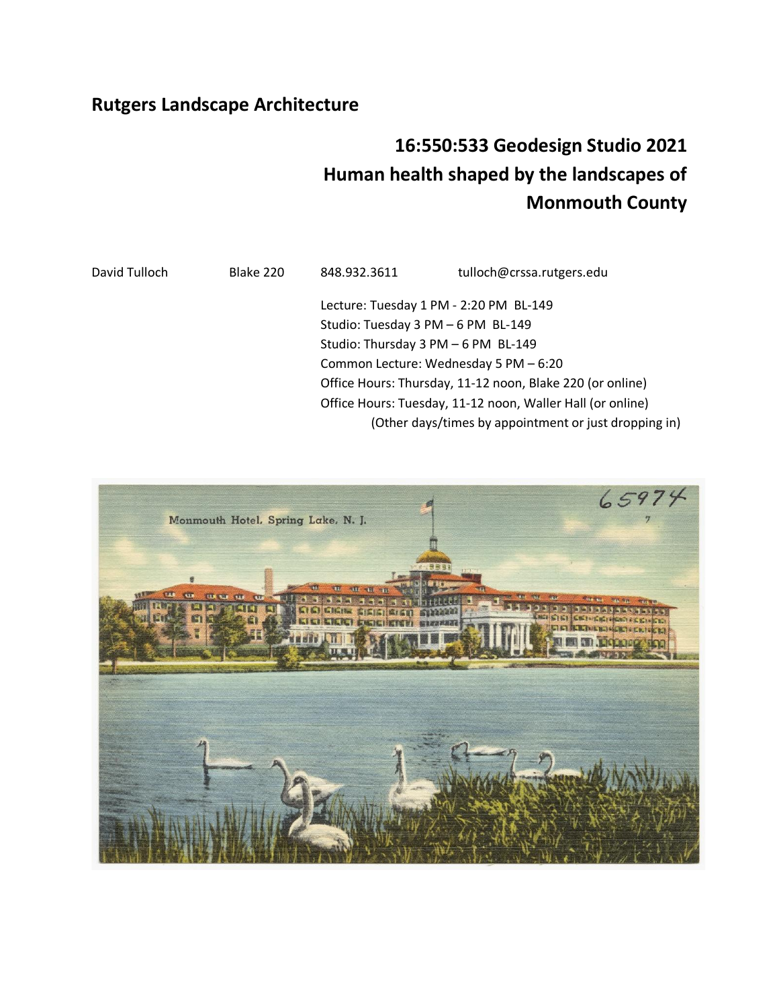## **Rutgers Landscape Architecture**

# **16:550:533 Geodesign Studio 2021 Human health shaped by the landscapes of Monmouth County**

David Tulloch Blake 220 848.932.3611 tulloch@crssa.rutgers.edu Lecture: Tuesday 1 PM - 2:20 PM BL-149 Studio: Tuesday 3 PM – 6 PM BL-149 Studio: Thursday 3 PM – 6 PM BL-149 Common Lecture: Wednesday 5 PM – 6:20 Office Hours: Thursday, 11-12 noon, Blake 220 (or online) Office Hours: Tuesday, 11-12 noon, Waller Hall (or online) (Other days/times by appointment or just dropping in)

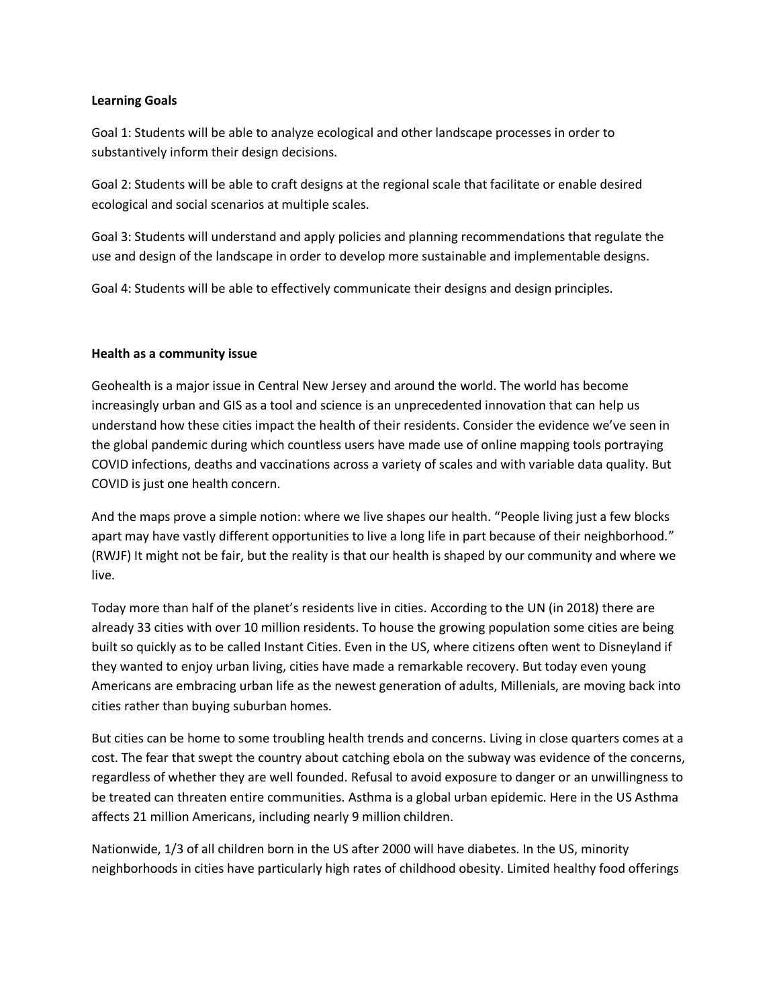#### **Learning Goals**

Goal 1: Students will be able to analyze ecological and other landscape processes in order to substantively inform their design decisions.

Goal 2: Students will be able to craft designs at the regional scale that facilitate or enable desired ecological and social scenarios at multiple scales.

Goal 3: Students will understand and apply policies and planning recommendations that regulate the use and design of the landscape in order to develop more sustainable and implementable designs.

Goal 4: Students will be able to effectively communicate their designs and design principles.

#### **Health as a community issue**

Geohealth is a major issue in Central New Jersey and around the world. The world has become increasingly urban and GIS as a tool and science is an unprecedented innovation that can help us understand how these cities impact the health of their residents. Consider the evidence we've seen in the global pandemic during which countless users have made use of online mapping tools portraying COVID infections, deaths and vaccinations across a variety of scales and with variable data quality. But COVID is just one health concern.

And the maps prove a simple notion: where we live shapes our health. "People living just a few blocks apart may have vastly different opportunities to live a long life in part because of their neighborhood." (RWJF) It might not be fair, but the reality is that our health is shaped by our community and where we live.

Today more than half of the planet's residents live in cities. According to the UN (in 2018) there are already 33 cities with over 10 million residents. To house the growing population some cities are being built so quickly as to be called Instant Cities. Even in the US, where citizens often went to Disneyland if they wanted to enjoy urban living, cities have made a remarkable recovery. But today even young Americans are embracing urban life as the newest generation of adults, Millenials, are moving back into cities rather than buying suburban homes.

But cities can be home to some troubling health trends and concerns. Living in close quarters comes at a cost. The fear that swept the country about catching ebola on the subway was evidence of the concerns, regardless of whether they are well founded. Refusal to avoid exposure to danger or an unwillingness to be treated can threaten entire communities. Asthma is a global urban epidemic. Here in the US Asthma affects 21 million Americans, including nearly 9 million children.

Nationwide, 1/3 of all children born in the US after 2000 will have diabetes. In the US, minority neighborhoods in cities have particularly high rates of childhood obesity. Limited healthy food offerings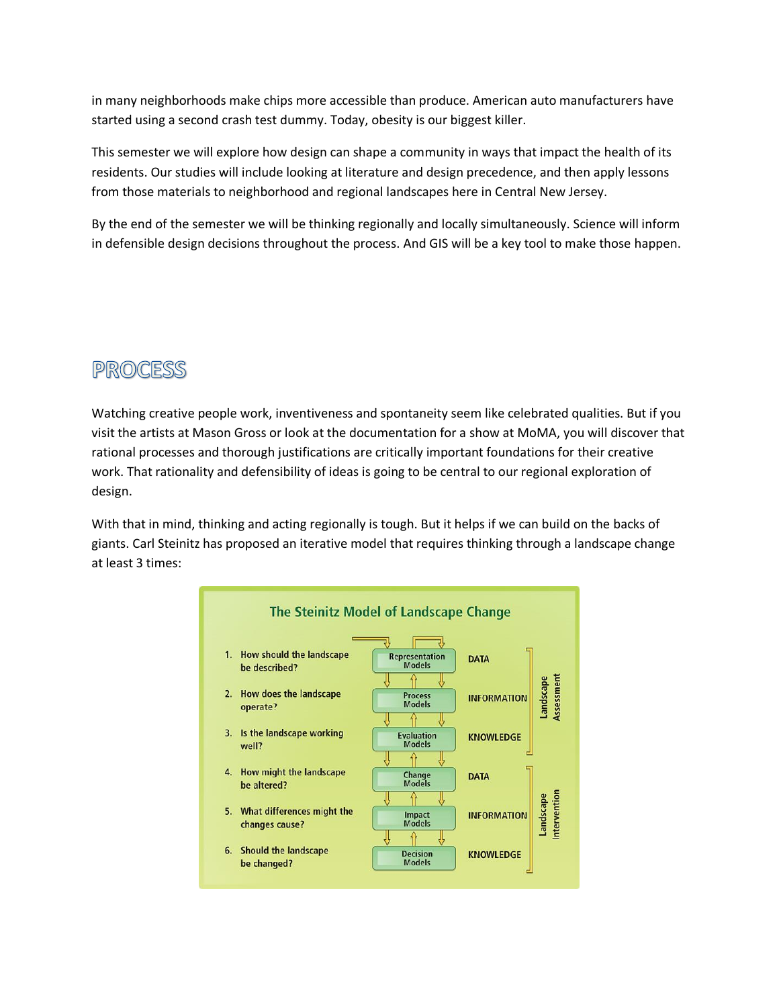in many neighborhoods make chips more accessible than produce. American auto manufacturers have started using a second crash test dummy. Today, obesity is our biggest killer.

This semester we will explore how design can shape a community in ways that impact the health of its residents. Our studies will include looking at literature and design precedence, and then apply lessons from those materials to neighborhood and regional landscapes here in Central New Jersey.

By the end of the semester we will be thinking regionally and locally simultaneously. Science will inform in defensible design decisions throughout the process. And GIS will be a key tool to make those happen.

# PROCESS

Watching creative people work, inventiveness and spontaneity seem like celebrated qualities. But if you visit the artists at Mason Gross or look at the documentation for a show at MoMA, you will discover that rational processes and thorough justifications are critically important foundations for their creative work. That rationality and defensibility of ideas is going to be central to our regional exploration of design.

With that in mind, thinking and acting regionally is tough. But it helps if we can build on the backs of giants. Carl Steinitz has proposed an iterative model that requires thinking through a landscape change at least 3 times:

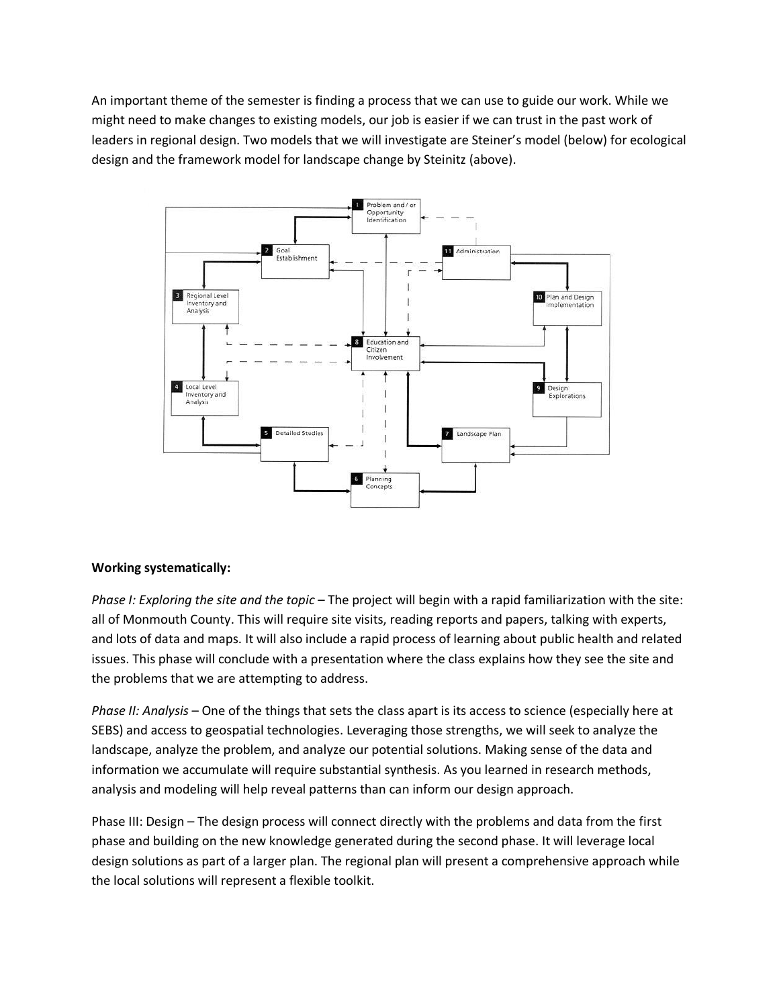An important theme of the semester is finding a process that we can use to guide our work. While we might need to make changes to existing models, our job is easier if we can trust in the past work of leaders in regional design. Two models that we will investigate are Steiner's model (below) for ecological design and the framework model for landscape change by Steinitz (above).



## **Working systematically:**

*Phase I: Exploring the site and the topic* – The project will begin with a rapid familiarization with the site: all of Monmouth County. This will require site visits, reading reports and papers, talking with experts, and lots of data and maps. It will also include a rapid process of learning about public health and related issues. This phase will conclude with a presentation where the class explains how they see the site and the problems that we are attempting to address.

*Phase II: Analysis* – One of the things that sets the class apart is its access to science (especially here at SEBS) and access to geospatial technologies. Leveraging those strengths, we will seek to analyze the landscape, analyze the problem, and analyze our potential solutions. Making sense of the data and information we accumulate will require substantial synthesis. As you learned in research methods, analysis and modeling will help reveal patterns than can inform our design approach.

Phase III: Design – The design process will connect directly with the problems and data from the first phase and building on the new knowledge generated during the second phase. It will leverage local design solutions as part of a larger plan. The regional plan will present a comprehensive approach while the local solutions will represent a flexible toolkit.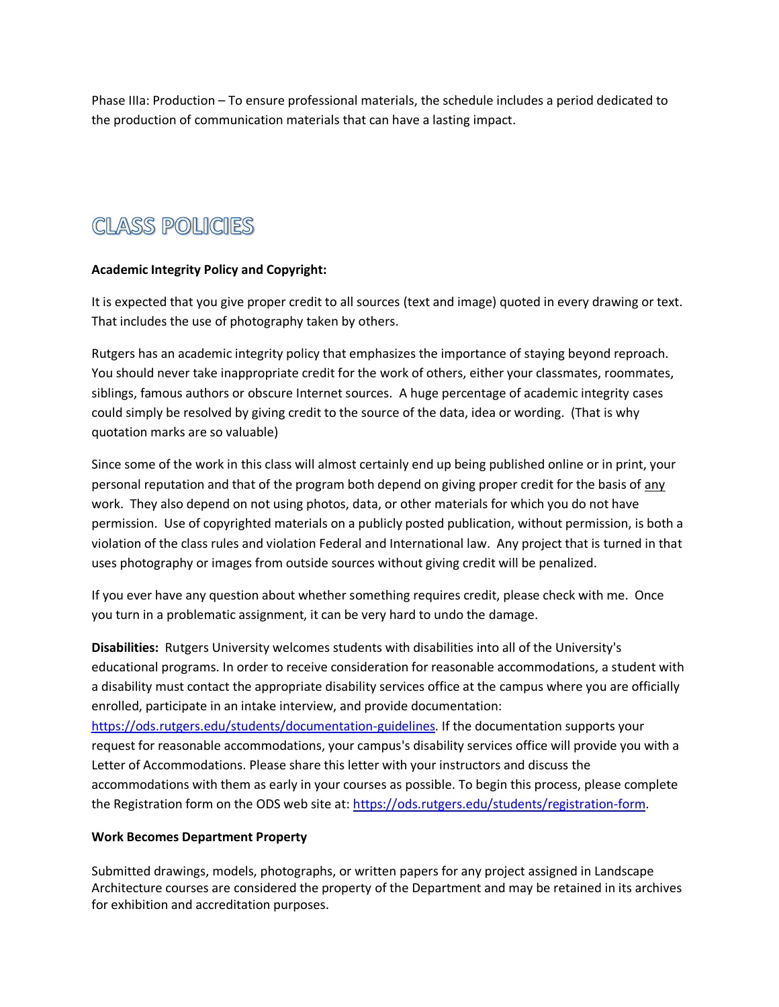Phase IIIa: Production – To ensure professional materials, the schedule includes a period dedicated to the production of communication materials that can have a lasting impact.

# **CLASS POLICIES**

## **Academic Integrity Policy and Copyright:**

It is expected that you give proper credit to all sources (text and image) quoted in every drawing or text. That includes the use of photography taken by others.

Rutgers has an academic integrity policy that emphasizes the importance of staying beyond reproach. You should never take inappropriate credit for the work of others, either your classmates, roommates, siblings, famous authors or obscure Internet sources. A huge percentage of academic integrity cases could simply be resolved by giving credit to the source of the data, idea or wording. (That is why quotation marks are so valuable)

Since some of the work in this class will almost certainly end up being published online or in print, your personal reputation and that of the program both depend on giving proper credit for the basis of any work. They also depend on not using photos, data, or other materials for which you do not have permission. Use of copyrighted materials on a publicly posted publication, without permission, is both a violation of the class rules and violation Federal and International law. Any project that is turned in that uses photography or images from outside sources without giving credit will be penalized.

If you ever have any question about whether something requires credit, please check with me. Once you turn in a problematic assignment, it can be very hard to undo the damage.

**Disabilities:** Rutgers University welcomes students with disabilities into all of the University's educational programs. In order to receive consideration for reasonable accommodations, a student with a disability must contact the appropriate disability services office at the campus where you are officially enrolled, participate in an intake interview, and provide documentation:

[https://ods.rutgers.edu/students/documentation-guidelines.](https://ods.rutgers.edu/students/documentation-guidelines) If the documentation supports your request for reasonable accommodations, your campus's disability services office will provide you with a Letter of Accommodations. Please share this letter with your instructors and discuss the accommodations with them as early in your courses as possible. To begin this process, please complete the Registration form on the ODS web site at: [https://ods.rutgers.edu/students/registration-form.](https://ods.rutgers.edu/students/registration-form)

#### **Work Becomes Department Property**

Submitted drawings, models, photographs, or written papers for any project assigned in Landscape Architecture courses are considered the property of the Department and may be retained in its archives for exhibition and accreditation purposes.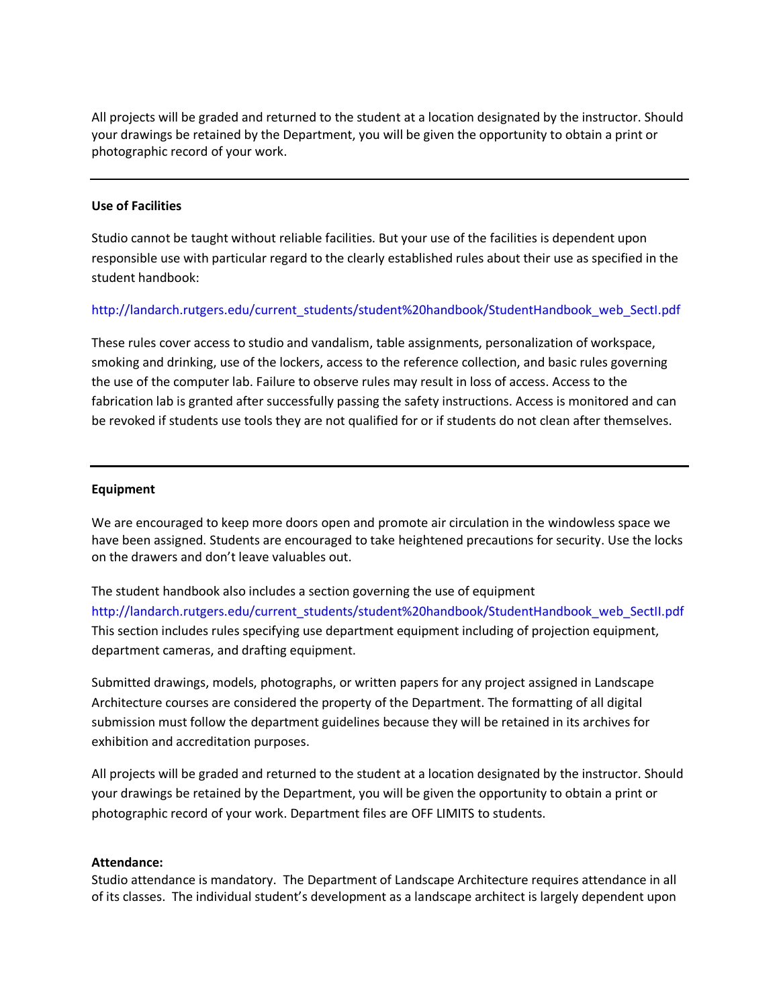All projects will be graded and returned to the student at a location designated by the instructor. Should your drawings be retained by the Department, you will be given the opportunity to obtain a print or photographic record of your work.

#### **Use of Facilities**

Studio cannot be taught without reliable facilities. But your use of the facilities is dependent upon responsible use with particular regard to the clearly established rules about their use as specified in the student handbook:

#### http://landarch.rutgers.edu/current\_students/student%20handbook/StudentHandbook\_web\_SectI.pdf

These rules cover access to studio and vandalism, table assignments, personalization of workspace, smoking and drinking, use of the lockers, access to the reference collection, and basic rules governing the use of the computer lab. Failure to observe rules may result in loss of access. Access to the fabrication lab is granted after successfully passing the safety instructions. Access is monitored and can be revoked if students use tools they are not qualified for or if students do not clean after themselves.

#### **Equipment**

We are encouraged to keep more doors open and promote air circulation in the windowless space we have been assigned. Students are encouraged to take heightened precautions for security. Use the locks on the drawers and don't leave valuables out.

The student handbook also includes a section governing the use of equipment http://landarch.rutgers.edu/current\_students/student%20handbook/StudentHandbook\_web\_SectII.pdf This section includes rules specifying use department equipment including of projection equipment, department cameras, and drafting equipment.

Submitted drawings, models, photographs, or written papers for any project assigned in Landscape Architecture courses are considered the property of the Department. The formatting of all digital submission must follow the department guidelines because they will be retained in its archives for exhibition and accreditation purposes.

All projects will be graded and returned to the student at a location designated by the instructor. Should your drawings be retained by the Department, you will be given the opportunity to obtain a print or photographic record of your work. Department files are OFF LIMITS to students.

#### **Attendance:**

Studio attendance is mandatory. The Department of Landscape Architecture requires attendance in all of its classes. The individual student's development as a landscape architect is largely dependent upon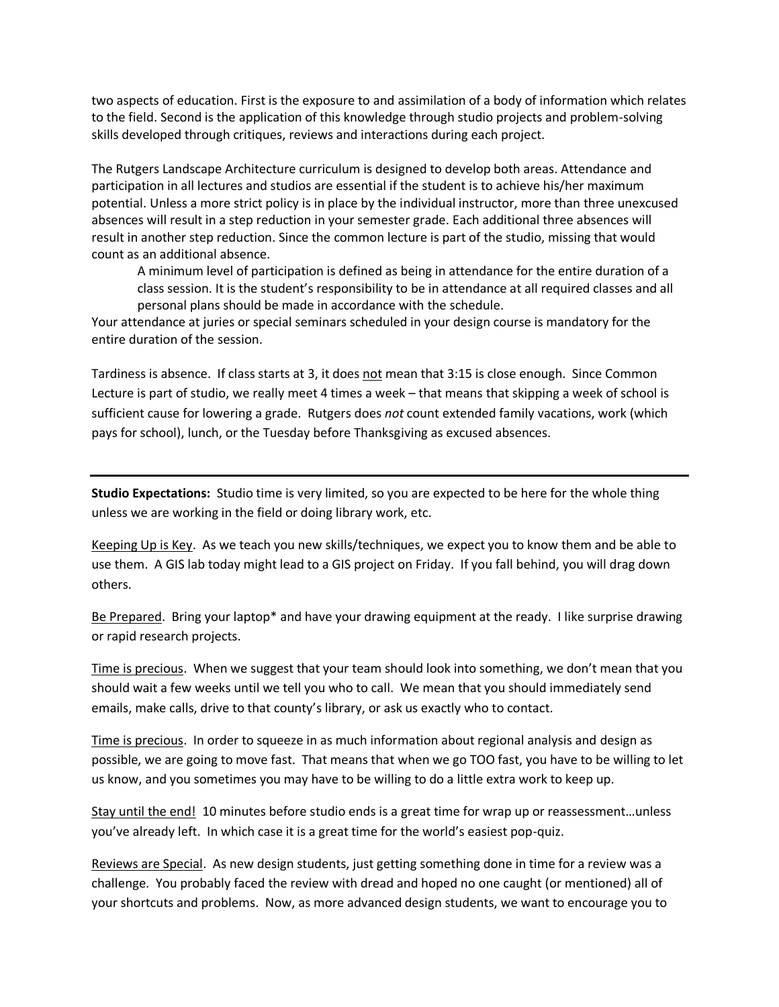two aspects of education. First is the exposure to and assimilation of a body of information which relates to the field. Second is the application of this knowledge through studio projects and problem-solving skills developed through critiques, reviews and interactions during each project.

The Rutgers Landscape Architecture curriculum is designed to develop both areas. Attendance and participation in all lectures and studios are essential if the student is to achieve his/her maximum potential. Unless a more strict policy is in place by the individual instructor, more than three unexcused absences will result in a step reduction in your semester grade. Each additional three absences will result in another step reduction. Since the common lecture is part of the studio, missing that would count as an additional absence.

A minimum level of participation is defined as being in attendance for the entire duration of a class session. It is the student's responsibility to be in attendance at all required classes and all personal plans should be made in accordance with the schedule.

Your attendance at juries or special seminars scheduled in your design course is mandatory for the entire duration of the session.

Tardiness is absence. If class starts at 3, it does not mean that 3:15 is close enough. Since Common Lecture is part of studio, we really meet 4 times a week – that means that skipping a week of school is sufficient cause for lowering a grade. Rutgers does *not* count extended family vacations, work (which pays for school), lunch, or the Tuesday before Thanksgiving as excused absences.

**Studio Expectations:** Studio time is very limited, so you are expected to be here for the whole thing unless we are working in the field or doing library work, etc.

Keeping Up is Key. As we teach you new skills/techniques, we expect you to know them and be able to use them. A GIS lab today might lead to a GIS project on Friday. If you fall behind, you will drag down others.

Be Prepared. Bring your laptop\* and have your drawing equipment at the ready. I like surprise drawing or rapid research projects.

Time is precious. When we suggest that your team should look into something, we don't mean that you should wait a few weeks until we tell you who to call. We mean that you should immediately send emails, make calls, drive to that county's library, or ask us exactly who to contact.

Time is precious. In order to squeeze in as much information about regional analysis and design as possible, we are going to move fast. That means that when we go TOO fast, you have to be willing to let us know, and you sometimes you may have to be willing to do a little extra work to keep up.

Stay until the end! 10 minutes before studio ends is a great time for wrap up or reassessment…unless you've already left. In which case it is a great time for the world's easiest pop-quiz.

Reviews are Special. As new design students, just getting something done in time for a review was a challenge. You probably faced the review with dread and hoped no one caught (or mentioned) all of your shortcuts and problems. Now, as more advanced design students, we want to encourage you to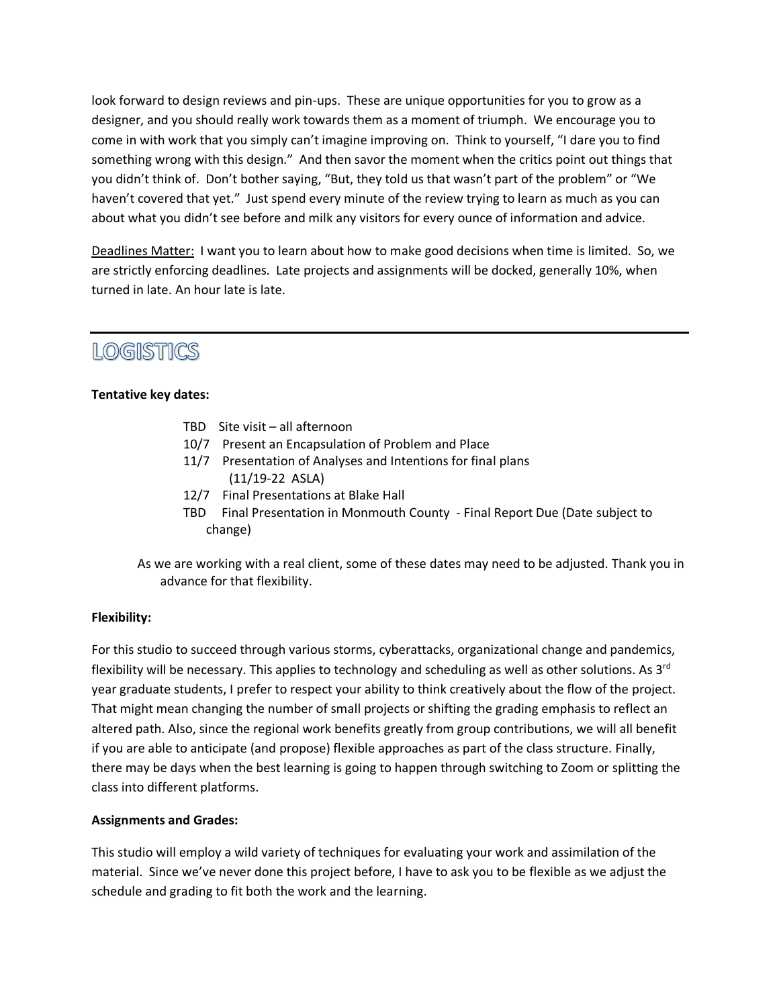look forward to design reviews and pin-ups. These are unique opportunities for you to grow as a designer, and you should really work towards them as a moment of triumph. We encourage you to come in with work that you simply can't imagine improving on. Think to yourself, "I dare you to find something wrong with this design." And then savor the moment when the critics point out things that you didn't think of. Don't bother saying, "But, they told us that wasn't part of the problem" or "We haven't covered that yet." Just spend every minute of the review trying to learn as much as you can about what you didn't see before and milk any visitors for every ounce of information and advice.

Deadlines Matter: I want you to learn about how to make good decisions when time is limited. So, we are strictly enforcing deadlines. Late projects and assignments will be docked, generally 10%, when turned in late. An hour late is late.

# LOGISTICS

## **Tentative key dates:**

- TBD Site visit all afternoon
- 10/7 Present an Encapsulation of Problem and Place
- 11/7 Presentation of Analyses and Intentions for final plans (11/19-22 ASLA)
- 12/7 Final Presentations at Blake Hall
- TBD Final Presentation in Monmouth County Final Report Due (Date subject to change)
- As we are working with a real client, some of these dates may need to be adjusted. Thank you in advance for that flexibility.

#### **Flexibility:**

For this studio to succeed through various storms, cyberattacks, organizational change and pandemics, flexibility will be necessary. This applies to technology and scheduling as well as other solutions. As 3<sup>rd</sup> year graduate students, I prefer to respect your ability to think creatively about the flow of the project. That might mean changing the number of small projects or shifting the grading emphasis to reflect an altered path. Also, since the regional work benefits greatly from group contributions, we will all benefit if you are able to anticipate (and propose) flexible approaches as part of the class structure. Finally, there may be days when the best learning is going to happen through switching to Zoom or splitting the class into different platforms.

## **Assignments and Grades:**

This studio will employ a wild variety of techniques for evaluating your work and assimilation of the material. Since we've never done this project before, I have to ask you to be flexible as we adjust the schedule and grading to fit both the work and the learning.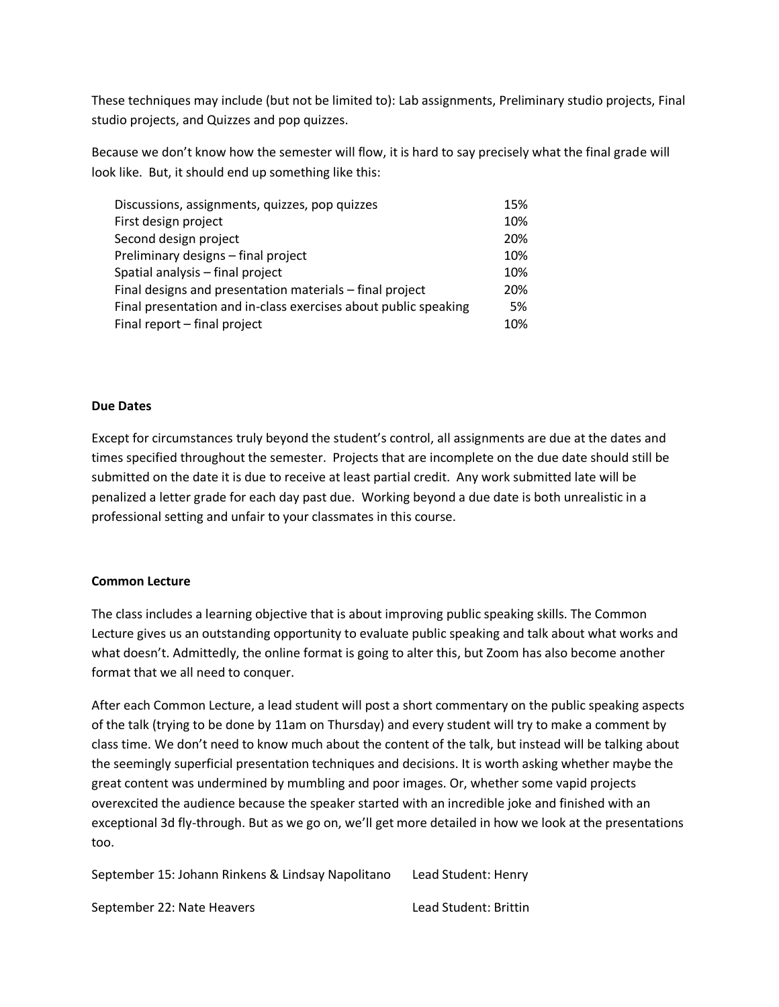These techniques may include (but not be limited to): Lab assignments, Preliminary studio projects, Final studio projects, and Quizzes and pop quizzes.

Because we don't know how the semester will flow, it is hard to say precisely what the final grade will look like. But, it should end up something like this:

| Discussions, assignments, quizzes, pop quizzes                  | 15% |
|-----------------------------------------------------------------|-----|
| First design project                                            | 10% |
| Second design project                                           | 20% |
| Preliminary designs - final project                             | 10% |
| Spatial analysis - final project                                | 10% |
| Final designs and presentation materials - final project        | 20% |
| Final presentation and in-class exercises about public speaking | 5%  |
| Final report - final project                                    | 10% |

#### **Due Dates**

Except for circumstances truly beyond the student's control, all assignments are due at the dates and times specified throughout the semester. Projects that are incomplete on the due date should still be submitted on the date it is due to receive at least partial credit. Any work submitted late will be penalized a letter grade for each day past due. Working beyond a due date is both unrealistic in a professional setting and unfair to your classmates in this course.

#### **Common Lecture**

The class includes a learning objective that is about improving public speaking skills. The Common Lecture gives us an outstanding opportunity to evaluate public speaking and talk about what works and what doesn't. Admittedly, the online format is going to alter this, but Zoom has also become another format that we all need to conquer.

After each Common Lecture, a lead student will post a short commentary on the public speaking aspects of the talk (trying to be done by 11am on Thursday) and every student will try to make a comment by class time. We don't need to know much about the content of the talk, but instead will be talking about the seemingly superficial presentation techniques and decisions. It is worth asking whether maybe the great content was undermined by mumbling and poor images. Or, whether some vapid projects overexcited the audience because the speaker started with an incredible joke and finished with an exceptional 3d fly-through. But as we go on, we'll get more detailed in how we look at the presentations too.

September 15: Johann Rinkens & Lindsay Napolitano Lead Student: Henry September 22: Nate Heavers **Lead Student: Brittin**